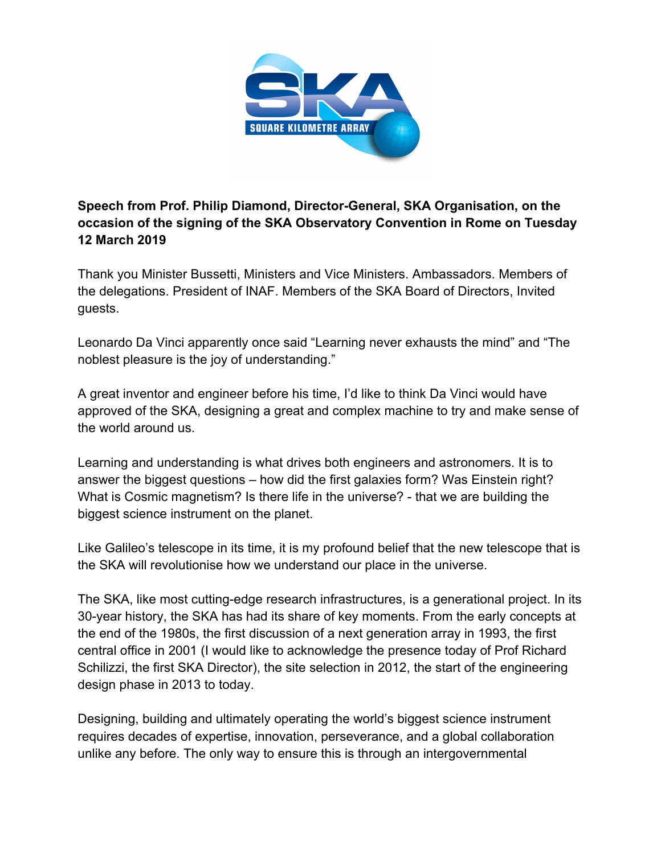

**Speech from Prof. Philip Diamond, Director-General, SKA Organisation, on the occasion of the signing of the SKA Observatory Convention in Rome on Tuesday 12 March 2019**

Thank you Minister Bussetti, Ministers and Vice Ministers. Ambassadors. Members of the delegations. President of INAF. Members of the SKA Board of Directors, Invited guests.

Leonardo Da Vinci apparently once said "Learning never exhausts the mind" and "The noblest pleasure is the joy of understanding."

A great inventor and engineer before his time, I'd like to think Da Vinci would have approved of the SKA, designing a great and complex machine to try and make sense of the world around us.

Learning and understanding is what drives both engineers and astronomers. It is to answer the biggest questions – how did the first galaxies form? Was Einstein right? What is Cosmic magnetism? Is there life in the universe? - that we are building the biggest science instrument on the planet.

Like Galileo's telescope in its time, it is my profound belief that the new telescope that is the SKA will revolutionise how we understand our place in the universe.

The SKA, like most cutting-edge research infrastructures, is a generational project. In its 30-year history, the SKA has had its share of key moments. From the early concepts at the end of the 1980s, the first discussion of a next generation array in 1993, the first central office in 2001 (I would like to acknowledge the presence today of Prof Richard Schilizzi, the first SKA Director), the site selection in 2012, the start of the engineering design phase in 2013 to today.

Designing, building and ultimately operating the world's biggest science instrument requires decades of expertise, innovation, perseverance, and a global collaboration unlike any before. The only way to ensure this is through an intergovernmental